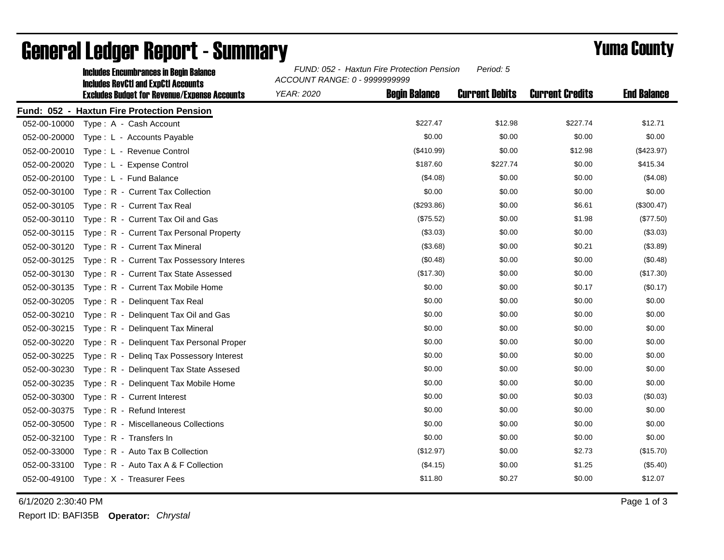|              | <b>Includes Encumbrances in Begin Balance</b><br><b>Includes RevCtI and ExpCtI Accounts</b><br><b>Excludes Budget for Revenue/Expense Accounts</b> | FUND: 052 - Haxtun Fire Protection Pension<br>Period: 5<br>ACCOUNT RANGE: 0 - 9999999999 |                      |                       |                        |                    |  |
|--------------|----------------------------------------------------------------------------------------------------------------------------------------------------|------------------------------------------------------------------------------------------|----------------------|-----------------------|------------------------|--------------------|--|
|              |                                                                                                                                                    | <b>YEAR: 2020</b>                                                                        | <b>Begin Balance</b> | <b>Current Debits</b> | <b>Current Credits</b> | <b>End Balance</b> |  |
|              | Fund: 052 - Haxtun Fire Protection Pension                                                                                                         |                                                                                          |                      |                       |                        |                    |  |
| 052-00-10000 | Type: A - Cash Account                                                                                                                             |                                                                                          | \$227.47             | \$12.98               | \$227.74               | \$12.71            |  |
| 052-00-20000 | Type: L - Accounts Payable                                                                                                                         |                                                                                          | \$0.00               | \$0.00                | \$0.00                 | \$0.00             |  |
| 052-00-20010 | Type: L - Revenue Control                                                                                                                          |                                                                                          | (\$410.99)           | \$0.00                | \$12.98                | (\$423.97)         |  |
| 052-00-20020 | Type: L - Expense Control                                                                                                                          |                                                                                          | \$187.60             | \$227.74              | \$0.00                 | \$415.34           |  |
| 052-00-20100 | Type: L - Fund Balance                                                                                                                             |                                                                                          | (\$4.08)             | \$0.00                | \$0.00                 | (\$4.08)           |  |
| 052-00-30100 | Type: R - Current Tax Collection                                                                                                                   |                                                                                          | \$0.00               | \$0.00                | \$0.00                 | \$0.00             |  |
| 052-00-30105 | Type: R - Current Tax Real                                                                                                                         |                                                                                          | (\$293.86)           | \$0.00                | \$6.61                 | (\$300.47)         |  |
| 052-00-30110 | Type: R - Current Tax Oil and Gas                                                                                                                  |                                                                                          | (\$75.52)            | \$0.00                | \$1.98                 | (\$77.50)          |  |
| 052-00-30115 | Type: R - Current Tax Personal Property                                                                                                            |                                                                                          | (\$3.03)             | \$0.00                | \$0.00                 | (\$3.03)           |  |
| 052-00-30120 | Type: R - Current Tax Mineral                                                                                                                      |                                                                                          | (\$3.68)             | \$0.00                | \$0.21                 | (\$3.89)           |  |
| 052-00-30125 | Type: R - Current Tax Possessory Interes                                                                                                           |                                                                                          | (\$0.48)             | \$0.00                | \$0.00                 | (\$0.48)           |  |
| 052-00-30130 | Type: R - Current Tax State Assessed                                                                                                               |                                                                                          | (\$17.30)            | \$0.00                | \$0.00                 | (\$17.30)          |  |
| 052-00-30135 | Type: R - Current Tax Mobile Home                                                                                                                  |                                                                                          | \$0.00               | \$0.00                | \$0.17                 | (\$0.17)           |  |
| 052-00-30205 | Type: R - Delinguent Tax Real                                                                                                                      |                                                                                          | \$0.00               | \$0.00                | \$0.00                 | \$0.00             |  |
| 052-00-30210 | Type: R - Delinquent Tax Oil and Gas                                                                                                               |                                                                                          | \$0.00               | \$0.00                | \$0.00                 | \$0.00             |  |
| 052-00-30215 | Type: R - Delinquent Tax Mineral                                                                                                                   |                                                                                          | \$0.00               | \$0.00                | \$0.00                 | \$0.00             |  |
| 052-00-30220 | Type: R - Delinquent Tax Personal Proper                                                                                                           |                                                                                          | \$0.00               | \$0.00                | \$0.00                 | \$0.00             |  |
| 052-00-30225 | Type: R - Deling Tax Possessory Interest                                                                                                           |                                                                                          | \$0.00               | \$0.00                | \$0.00                 | \$0.00             |  |
| 052-00-30230 | Type: R - Delinguent Tax State Assesed                                                                                                             |                                                                                          | \$0.00               | \$0.00                | \$0.00                 | \$0.00             |  |
| 052-00-30235 | Type: R - Delinquent Tax Mobile Home                                                                                                               |                                                                                          | \$0.00               | \$0.00                | \$0.00                 | \$0.00             |  |
| 052-00-30300 | Type: R - Current Interest                                                                                                                         |                                                                                          | \$0.00               | \$0.00                | \$0.03                 | (\$0.03)           |  |
| 052-00-30375 | $Type: R - Refund Interest$                                                                                                                        |                                                                                          | \$0.00               | \$0.00                | \$0.00                 | \$0.00             |  |
| 052-00-30500 | Type: R - Miscellaneous Collections                                                                                                                |                                                                                          | \$0.00               | \$0.00                | \$0.00                 | \$0.00             |  |
| 052-00-32100 | Type: R - Transfers In                                                                                                                             |                                                                                          | \$0.00               | \$0.00                | \$0.00                 | \$0.00             |  |
| 052-00-33000 | Type: R - Auto Tax B Collection                                                                                                                    |                                                                                          | (\$12.97)            | \$0.00                | \$2.73                 | (\$15.70)          |  |
| 052-00-33100 | Type: R - Auto Tax A & F Collection                                                                                                                |                                                                                          | (\$4.15)             | \$0.00                | \$1.25                 | (\$5.40)           |  |
| 052-00-49100 | Type: X - Treasurer Fees                                                                                                                           |                                                                                          | \$11.80              | \$0.27                | \$0.00                 | \$12.07            |  |

## General Ledger Report - Summary **Example 2018** Yuma County

6/1/2020 2:30:40 PM Page 1 of 3

Report ID: BAFI35B **Operator:** *Chrystal*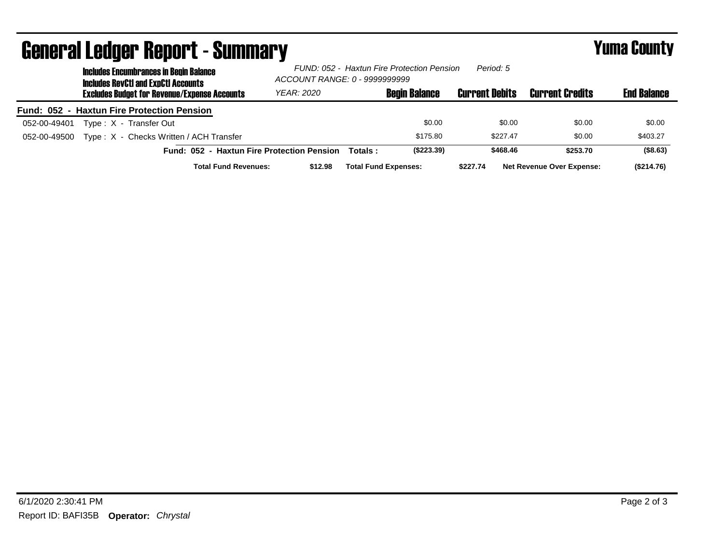| ugligi ai lguygi higpul l - duniniai y<br><b>Includes Encumbrances in Begin Balance</b><br><b>Includes RevCtI and ExpCtI Accounts</b> | FUND: 052 - Haxtun Fire Protection Pension<br>Period: 5<br>ACCOUNT RANGE: 0 - 9999999999 |         |                             | I UHU VVUILT          |                                  |                    |
|---------------------------------------------------------------------------------------------------------------------------------------|------------------------------------------------------------------------------------------|---------|-----------------------------|-----------------------|----------------------------------|--------------------|
| <b>Excludes Budget for Revenue/Expense Accounts</b>                                                                                   | YEAR: 2020                                                                               |         | <b>Begin Balance</b>        | <b>Current Debits</b> | <b>Current Credits</b>           | <b>End Balance</b> |
| Fund: 052 - Haxtun Fire Protection Pension                                                                                            |                                                                                          |         |                             |                       |                                  |                    |
| Type: X - Transfer Out<br>052-00-49401                                                                                                |                                                                                          |         | \$0.00                      | \$0.00                | \$0.00                           | \$0.00             |
| Type: X - Checks Written / ACH Transfer<br>052-00-49500                                                                               |                                                                                          |         | \$175.80                    | \$227.47              | \$0.00                           | \$403.27           |
| Fund: 052 - Haxtun Fire Protection Pension                                                                                            |                                                                                          | Totals: | (\$223.39)                  | \$468.46              | \$253.70                         | ( \$8.63)          |
| <b>Total Fund Revenues:</b>                                                                                                           | \$12.98                                                                                  |         | <b>Total Fund Expenses:</b> | \$227.74              | <b>Net Revenue Over Expense:</b> | (\$214.76)         |

## General Ledger Report - Summary Yuma County